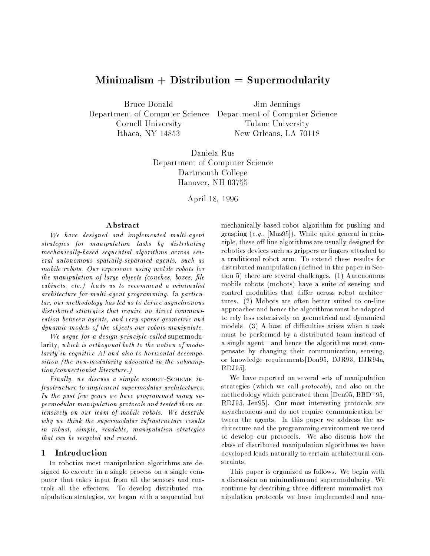# $Minimalism + Distribution = Supermodularity$

Bruce Donald Jim Jennings Department of Computer Science Department of Computer Science Cornell University Tulane University Ithaca, NY 14853 New Orleans, LA 70118

Daniela Rus Department of Computer Science Dartmouth College Hanover, NH 03755

April 18, 1996

We have designed and implemented multi-agent strategies for manipulation tasks by distributing  $mechanically-based sequential algorithms across sev$ eral autonomous spatially-separated agents, such as mobile robots. Our experience using mobile robots for the manipulation of large objects (couches, boxes, file cabinets, etc.) leads us to recommend a minimalist architecture for multi-agent programming. In particular, our methodology has led us to derive asynchronous distributed strategies that require no direct communication between agents, and very sparse geometric and dynamic models of the objects our robots manipulate.

We argue for a design principle called supermodularity, which is orthogonal both to the notion of modularity in cognitive AI and also to horizontal decomposition (the non-modularity advocated in the subsumption/connectionist literature.)

Finally, we discuss a simple MOBOT-SCHEME infrastructure to implement supermodular architectures. In the past few years we have programmed many supermodular manipulation protocols and tested them extensively on our team of mobile robots. We describe why we think the supermodular infrastructure results in robust, simple, readable, manipulation strategies that can be recycled and reused.

In robotics most manipulation algorithms are designed to execute in a single process on a single computer that takes input from all the sensors and controls all the effectors. To develop distributed manipulation strategies, we began with a sequential but mechanically-based robot algorithm for pushing and grasping  $(e.g., [Mas95])$ . While quite general in principle, these off-line algorithms are usually designed for robotics devices such as grippers or fingers attached to a traditional robot arm. To extend these results for distributed manipulation (defined in this paper in Section 5) there are several challenges. (1) Autonomous mobile robots (mobots) have a suite of sensing and control modalities that differ across robot architectures. (2) Mobots are often better suited to on-line approaches and hence the algorithms must be adapted to rely less extensively on geometrical and dynamical models.  $(3)$  A host of difficulties arises when a task must be performed by a distributed team instead of a single agent—and hence the algorithms must compensate by changing their communication, sensing, or knowledge requirements[Don95, DJR93, DJR94a, RDJ95].

We have reported on several sets of manipulation strategies (which we call protocols), and also on the methodology which generated them [Don95, BBD+ 95, RDJ95, Jen95]. Our most interesting protocols are asynchronous and do not require communication between the agents. In this paper we address the architecture and the programming environment we used to develop our protocols. We also discuss how the class of distributed manipulation algorithms we have developed leads naturally to certain architectural con-

This paper is organized as follows. We begin with a discussion on minimalism and supermodularity. We continue by describing three different minimalist manipulation protocols we have implemented and ana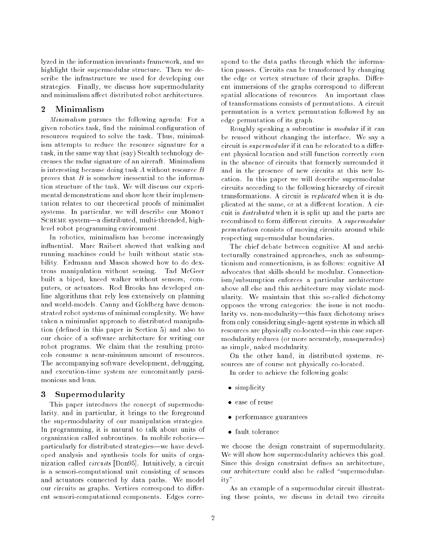lyzed in the information invariants framework, and we highlight their supermodular structure. Then we describe the infrastructure we used for developing our strategies. Finally, we discuss how supermodularity and minimalism affect distributed robot architectures.

#### $\overline{2}$ Minimalism

Minimalism pursues the following agenda: For a given robotics task, find the minimal configuration of resources required to solve the task. Thus, minimalism attempts to reduce the resource signature for a task, in the same way that (say) Stealth technology decreases the radar signature of an aircraft. Minimalism is interesting because doing task A without resource B proves that  $B$  is somehow inessential to the information structure of the task. We will discuss our experimental demonstrations and show how their implementation relates to our theoretical proofs of minimalist systems. In particular, we will describe our MOBOT SCHEME system-a distributed, multi-threaded, highlevel robot programming environment.

In robotics, minimalism has become increasingly in
uential. Marc Raibert showed that walking and running machines could be built without static stability. Erdmann and Mason showed how to do dextrous manipulation without sensing. Tad McGeer built a biped, kneed walker without sensors, computers, or actuators. Rod Brooks has developed online algorithms that rely less extensively on planning and world-models. Canny and Goldberg have demonstrated robot systems of minimal complexity. We have taken a minimalist approach to distributed manipulation (defined in this paper in Section 5) and also to our choice of a software architecture for writing our robot programs. We claim that the resulting protocols consume a near-minimum amount of resources. The accompanying software development, debugging, and execution-time system are concomitantly parsimonious and lean.

# 3 Supermodularity

This paper introduces the concept of supermodularity, and in particular, it brings to the foreground the supermodularity of our manipulation strategies. In programming, it is natural to talk about units of organization called subroutines. In mobile robotics| particularly for distributed strategies—we have developed analysis and synthesis tools for units of organization called circuits [Don95]. Intuitively, a circuit is a sensori-computational unit consisting of sensors and actuators connected by data paths. We model our circuits as graphs. Vertices correspond to different sensori-computational components. Edges correspond to the data paths through which the information passes. Circuits can be transformed by changing the edge or vertex structure of their graphs. Different immersions of the graphs correspond to different spatial allocations of resources. An important class of transformations consists of permutations. A circuit permutation is a vertex permutation followed by an edge permutation of its graph.

Roughly speaking a subroutine is modular if it can be reused without changing the interface. We say a circuit is  $supermodular$  if it can be relocated to a different physical location and still function correctly even in the absence of circuits that formerly surrounded it and in the presence of new circuits at this new location. In this paper we will describe supermodular circuits according to the following hierarchy of circuit transformations. A circuit is replicated when it is duplicated at the same, or at a different location. A circuit is distributed when it is split up and the parts are recombined to form different circuits. A supermodular permutation consists of moving circuits around while respecting supermodular boundaries.

The chief debate between cognitive AI and architecturally constrained approaches, such as subsumptionism and connectionism, is as follows: cognitive AI advocates that skills should be modular. Connectionism/subsumption enforces a particular architecture above all else and this architecture may violate modularity. We maintain that this so-called dichotomy opposes the wrong categories: the issue is not modularity vs. non-modularity-this faux dichotomy arises from only considering single-agent systems in which all resources are physically co-located—in this case supermodularity reduces (or more accurately, masquerades) as simple, naked modularity.

On the other hand, in distributed systems, resources are of course not physically co-located.

In order to achieve the following goals:

- simplicity
- ease of reuse
- performance guarantees
- 

we choose the design constraint of supermodularity. We will show how supermodularity achieves this goal. Since this design constraint defines an architecture, our architecture could also be called "supermodularity".

As an example of a supermodular circuit illustrating these points, we discuss in detail two circuits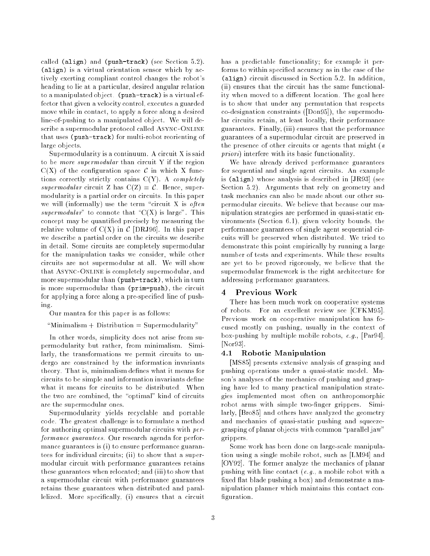called (align) and (push-track) (see Section  $5.2$ ).  $\mathcal{L}$  is a virtual orientation sensor which by a set  $\mathcal{L}$ tively exerting compliant control changes the robot's heading to lie at a particular, desired angular relation to a manipulated object. (push-track) is a virtual effector that given a velocity control, executes a guarded move while in contact, to apply a force along a desired line-of-pushing to a manipulated object. We will describe a supermodular protocol called ASYNC-ONLINE that uses (push-track) for multi-robot reorienting of large objects.

Supermodularity is a continuum. A circuit X is said to be more supermodular than circuit Y if the region  $C(X)$  of the configuration space C in which X functions correctly strictly contains  $C(Y)$ . A completely supermodular circuit Z has  $C(Z) = C$ . Hence, supermodularity is a partial order on circuits. In this paper we will (informally) use the term "circuit X is often supermodular" to connote that " $C(X)$  is large". This concept may be quantied precisely by measuring the relative volume of  $C(X)$  in  $C$  [DRJ96]. In this paper we describe a partial order on the circuits we describe in detail. Some circuits are completely supermodular for the manipulation tasks we consider, while other circuits are not supermodular at all. We will show that ASYNC-ONLINE is completely supermodular, and more supermodular than (push-track), which in turn is more supermodular than (prim-push), the circuit for applying a force along a pre-specied line of push- $\operatorname{in} \mathfrak{e}$ . ing.

Our mantra for this paper is as follows:

 $M$ inimalism + Distribution = Supermodularity"

In other words, simplicity does not arise from supermodularity but rather, from minimalism. Similarly, the transformations we permit circuits to undergo are constrained by the information invariants theory. That is, minimalism defines what it means for circuits to be simple and information invariants define what it means for circuits to be distributed. When the two are combined, the "optimal" kind of circuits are the supermodular ones.

Supermodularity yields recyclable and portable code. The greatest challenge is to formulate a method for authoring optimal supermodular circuits with performance guarantees. Our research agenda for performance guarantees is (i) to ensure performance guarantees for individual circuits; (ii) to show that a supermodular circuit with performance guarantees retains these guarantees when relocated; and (iii) to show that a supermodular circuit with performance guarantees retains these guarantees when distributed and parallelized. More specifically, (i) ensures that a circuit

has a predictable functionality; for example it performs to within specied accuracy as in the case of the (align) circuit discussed in Section 5.2. In addition, (ii) ensures that the circuit has the same functionality when moved to a different location. The goal here is to show that under any permutation that respects co-designation constraints ([Don95]), the supermodular circuits retain, at least locally, their performance guarantees. Finally, (iii) ensures that the performance guarantees of a supermodular circuit are preserved in the presence of other circuits or agents that might (a priori) interfere with its basic functionality.

We have already derived performance guarantees for sequential and single agent circuits. An example is (align) whose analysis is described in [JR93] (see Section 5.2). Arguments that rely on geometry and task mechanics can also be made about our other supermodular circuits. We believe that because our manipulation strategies are performed in quasi-static environments (Section 6.1), given velocity bounds, the performance guarantees of single agent sequential circuits will be preserved when distributed. We tried to demonstrate this point empirically by running a large number of tests and experiments. While these results are yet to be proved rigorously, we believe that the supermodular framework is the right architecture for addressing performance guarantees.

#### $\overline{4}$ Previous Work

There has been much work on cooperative systems of robots. For an excellent review see [CFKM95]. Previous work on cooperative manipulation has focused mostly on pushing, usually in the context of box-pushing by multiple mobile robots,  $e.g.,$  [Par94], [Nor93].

#### $4.1$ Robotic Manipulation

[MS85] presents extensive analysis of grasping and pushing operations under a quasi-static model. Mason's analyses of the mechanics of pushing and grasping have led to many practical manipulation strategies implemented most often on anthropomorphic robot arms with simple two-finger grippers. Similarly, [Bro85] and others have analyzed the geometry and mechanics of quasi-static pushing and squeezegrasping of planar objects with common \parallel jaw" grippers.

Some work has been done on large-scale manipulation using a single mobile robot, such as [LM94] and [OY92]. The former analyze the mechanics of planar pushing with line contact  $(e.g., a mobile robot with a$ fixed flat blade pushing a box) and demonstrate a manipulation planner which maintains this contact con figuration.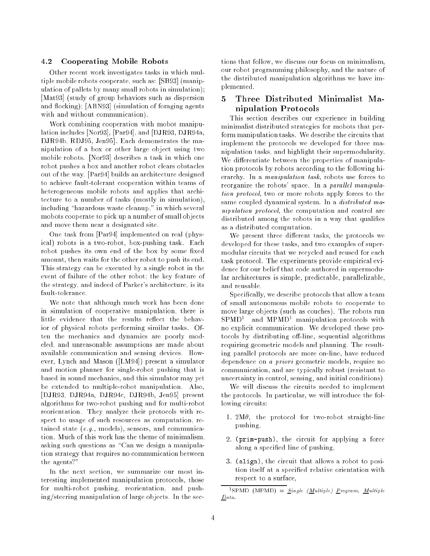### 4.2 Cooperating Mobile Robots

Other recent work investigates tasks in which multiple mobile robots cooperate, such as: [SB93] (manipulation of pallets by many small robots in simulation); [Mat93] (study of group behaviors such as dispersion and flocking); [ABN93] (simulation of foraging agents with and without communication).

Work combining cooperation with mobot manipulation includes [Nor93], [Par94], and [DJR93, DJR94a, DJR94b, RDJ95, Jen95]. Each demonstrates the manipulation of a box or other large object using two mobile robots. [Nor93] describes a task in which one robot pushes a box and another robot clears obstacles out of the way. [Par94] builds an architecture designed to achieve fault-tolerant cooperation within teams of heterogeneous mobile robots and applies that architecture to a number of tasks (mostly in simulation), including "hazardous waste cleanup," in which several mobots cooperate to pick up a number of small objects and move them near a designated site.

One task from [Par94] implemented on real (physical) robots is a two-robot, box-pushing task. Each robot pushes its own end of the box by some fixed amount, then waits for the other robot to push its end. This strategy can be executed by a single robot in the event of failure of the other robot; the key feature of the strategy, and indeed of Parker's architecture, is its fault-tolerance.

We note that although much work has been done in simulation of cooperative manipulation, there is little evidence that the results reflect the behavior of physical robots performing similar tasks. Often the mechanics and dynamics are poorly modeled, and unreasonable assumptions are made about available communication and sensing devices. However, Lynch and Mason ([LM94]) present a simulator and motion planner for single-robot pushing that is based in sound mechanics, and this simulator may yet be extended to multiple-robot manipulation. Also, [DJR93, DJR94a, DJR94c, DJR94b, Jen95] present algorithms for two-robot pushing and for multi-robot reorientation. They analyze their protocols with respect to usage of such resources as computation, retained state (e.g., models), sensors, and communication. Much of this work has the theme of minimalism, asking such questions as "Can we design a manipulation strategy that requires no communication between the agents?"

In the next section, we summarize our most interesting implemented manipulation protocols, those for multi-robot pushing, reorientation, and pushing/steering manipulation of large objects. In the sections that follow, we discuss our focus on minimalism, our robot programming philosophy, and the nature of the distributed manipulation algorithms we have implemented.

# 5 Three Distributed Minimalist Manipulation Protocols

This section describes our experience in building minimalist distributed strategies for mobots that perform manipulation tasks. We describe the circuits that implement the protocols we developed for three manipulation tasks, and highlight their supermodularity. We differentiate between the properties of manipulation protocols by robots according to the following hierarchy. In a manipulation task, robots use forces to reorganize the robots' space. In a parallel manipulation protocol, two or more robots apply forces to the same coupled dynamical system. In a distributed manipulation protocol, the computation and control are distributed among the robots in a way that qualifies as a distributed computation.

We present three different tasks, the protocols we developed for these tasks, and two examples of supermodular circuits that we recycled and reused for each task protocol. The experiments provide empirical evidence for our belief that code authored in supermodular architectures is simple, predictable, parallelizable, and reusable.

Specically, we describe protocols that allow a team of small autonomous mobile robots to cooperate to move large objects (such as couches). The robots run SPMD<sup>1</sup> and MPMD1 manipulation protocols with no explicit communication. We developed these protocols by distributing off-line, sequential algorithms requiring geometric models and planning. The resulting parallel protocols are more on-line, have reduced dependence on a priori geometric models, require no communication, and are typically robust (resistant to uncertainty in control, sensing, and initial conditions).

We will discuss the circuits needed to implement the protocols. In particular, we will introduce the following circuits:

- 1.  $2M\theta$ , the protocol for two-robot straight-line pushing,
- 2. (prim-push), the circuit for applying a force along a specied line of pushing,
- 3. (align), the circuit that allows a robot to position itself at a specied relative orientation with respect to a surface,

 $\lceil$   $\lceil$   $\lceil$   $\lceil$   $\lceil$   $\lceil$   $\lceil$   $\lceil$   $\lceil$   $\lceil$   $\lceil$   $\lceil$   $\lceil$   $\lceil$   $\lceil$   $\lceil$   $\lceil$   $\lceil$   $\lceil$   $\lceil$   $\lceil$   $\lceil$   $\lceil$   $\lceil$   $\lceil$   $\lceil$   $\lceil$   $\lceil$   $\lceil$   $\lceil$   $\lceil$   $\lceil$   $\lceil$   $\lceil$   $\lceil$   $\lceil$   $\lceil$ Data.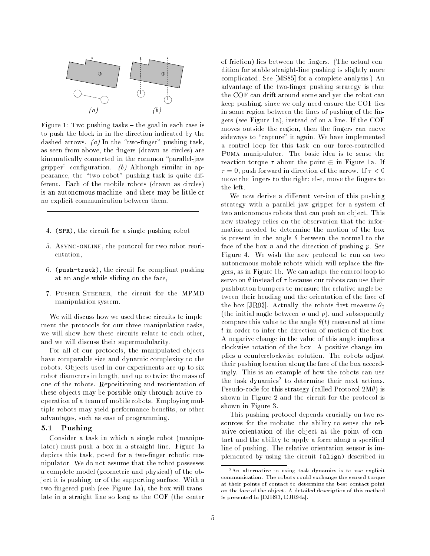

Figure 1: Two pushing tasks  $-$  the goal in each case is to push the block in in the direction indicated by the dashed arrows. (a) In the "two-finger" pushing task, as seen from above, the fingers (drawn as circles) are kinematically connected in the common "parallel-jaw gripper" configuration.  $(b)$  Although similar in appearance, the "two robot" pushing task is quite different. Each of the mobile robots (drawn as circles) is an autonomous machine, and there may be little or no explicit communication between them.

- 4. (SPR), the circuit for a single pushing robot,
- 5. Async-online, the protocol for two robot reorientation,
- 6. (push-track), the circuit for compliant pushing at an angle while sliding on the face,
- 7. Pusher-Steerer, the circuit for the MPMD manipulation system.

We will discuss how we used these circuits to implement the protocols for our three manipulation tasks, we will show how these circuits relate to each other, and we will discuss their supermodularity.

For all of our protocols, the manipulated objects have comparable size and dynamic complexity to the robots. Objects used in our experiments are up to six robot diameters in length, and up to twice the mass of one of the robots. Repositioning and reorientation of these objects may be possible only through active cooperation of a team of mobile robots. Employing multiple robots may yield performance benefits, or other advantages, such as ease of programming.

## 5.1 Pushing

Consider a task in which a single robot (manipulator) must push a box in a straight line. Figure 1a depicts this task, posed for a two-finger robotic manipulator. We do not assume that the robot possesses a complete model (geometric and physical) of the object it is pushing, or of the supporting surface. With a two-ngered push (see Figure 1a), the box will translate in a straight line so long as the COF (the center of friction) lies between the fingers. (The actual condition for stable straight-line pushing is slightly more complicated. See [MS85] for a complete analysis.) An advantage of the two-finger pushing strategy is that the COF can drift around some and yet the robot can keep pushing, since we only need ensure the COF lies in some region between the lines of pushing of the fingers (see Figure 1a), instead of on a line. If the COF moves outside the region, then the fingers can move sideways to "capture" it again. We have implemented a control loop for this task on our force-controlled Puma manipulator. The basic idea is to sense the reaction torque  $\tau$  about the point  $\oplus$  in Figure 1a. If  $\tau = 0$ , push forward in direction of the arrow. If  $\tau < 0$ move the fingers to the right; else, move the fingers to the left.

We now derive a different version of this pushing strategy with a parallel jaw gripper for a system of two autonomous robots that can push an object. This new strategy relies on the observation that the information needed to determine the motion of the box is present in the angle  $\theta$  between the normal to the face of the box  $n$  and the direction of pushing  $p$ . See Figure 4. We wish the new protocol to run on two autonomous mobile robots which will replace the ngers, as in Figure 1b. We can adapt the control loop to servo on  $\theta$  instead of  $\tau$  because our robots can use their pushbutton bumpers to measure the relative angle between their heading and the orientation of the face of the box [JR93]. Actually, the robots first measure  $\theta_0$ (the initial angle between *n* and *p*), and subsequently compare this value to the angle  $\theta(t)$  measured at time t in order to infer the direction of motion of the box. A negative change in the value of this angle implies a clockwise rotation of the box. A positive change implies a counterclockwise rotation. The robots adjust their pushing location along the face of the box accordingly. This is an example of how the robots can use the task dynamics<sup>-</sup> to determine their next actions. Pseudo-code for this strategy (called Protocol  $2M\theta$ ) is shown in Figure 2 and the circuit for the protocol is shown in Figure 3.

This pushing protocol depends crucially on two resources for the mobots: the ability to sense the relative orientation of the object at the point of contact and the ability to apply a force along a specified line of pushing. The relative orientation sensor is implemented by using the circuit (align) described in

<sup>2</sup>An alternative to using task dynamics is to use explicit communication. The robots could exchange the sensed torque at their points of contact to determine the best contact point on the face of the object. A detailed description of this method is presented in [DJR93, DJR94a].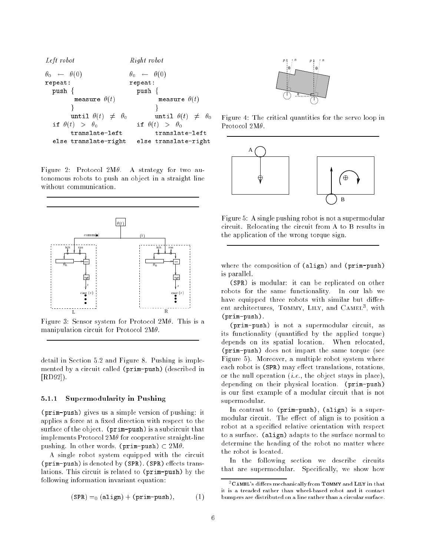

Figure 2: Protocol  $2M\theta$ . A strategy for two autonomous robots to push an object in a straight line without communication.



Figure 3: Sensor system for Protocol  $2M\theta$ . This is a manipulation circuit for Protocol  $2M\theta$ .

detail in Section 5.2 and Figure 8. Pushing is implemented by a circuit called (prim-push) (described in [RD92]).

### 5.1.1 Supermodularity in Pushing

(prim-push) gives us a simple version of pushing: it applies a force at a fixed direction with respect to the surface of the object. (prim-push) is a subcircuit that implements Protocol  $2M\theta$  for cooperative straight-line pushing. In other words, (prim-push)  $\subset 2M\theta$ .

A single robot system equipped with the circuit (prim-push) is denoted by (SPR). (SPR) eects translations. This circuit is related to (prim-push) by the following information invariant equation:

$$
(\text{SPR}) =_0 (\text{align}) + (\text{prim-push}), \quad (1)
$$



Figure 4: The critical quantities for the servo loop in Protocol  $2M\theta$ .



Figure 5: A single pushing robot is not a supermodular circuit. Relocating the circuit from A to B results in the application of the wrong torque sign.

where the composition of (align) and (prim-push) is parallel.

(SPR) is modular: it can be replicated on other robots for the same functionality. In our lab we have equipped three robots with similar but different architectures, TOMMY, LILY, and CAMEL<sup>3</sup>, with (prim-push).

(prim-push) is not a supermodular circuit, as its functionality (quantied by the applied torque) depends on its spatial location. When relocated, (prim-push) does not impart the same torque (see Figure 5). Moreover, a multiple robot system where each robot is (SPR) may effect translations, rotations, or the null operation  $(i.e.,$  the object stays in place), depending on their physical location. (prim-push) is our first example of a modular circuit that is not supermodular.

In contrast to (prim-push), (align) is a supermodular circuit. The effect of align is to position a robot at a specied relative orientation with respect to a surface. (align) adapts to the surface normal to determine the heading of the robot no matter where the robot is located.

In the following section we describe circuits that are supermodular. Specifically, we show how

 $3C$ AMEL's differs mechanically from TOMMY and LILY in that it is a treaded rather than wheel-based robot and it contact bumpers are distributed on a line rather than a circular surface.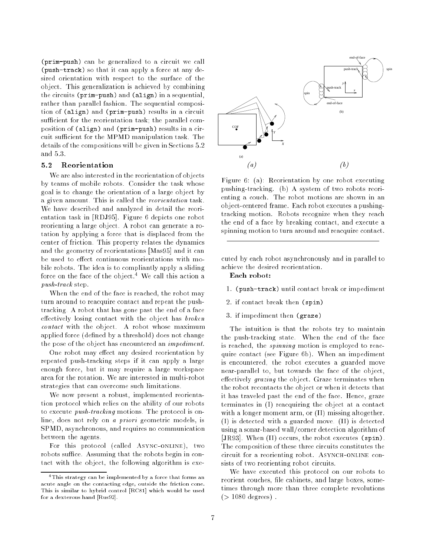(prim-push) can be generalized to a circuit we call (push-track) so that it can apply a force at any desired orientation with respect to the surface of the object. This generalization is achieved by combining the circuits (prim-push) and (align) in a sequential, rather than parallel fashion. The sequential composition of (align) and (prim-push) results in a circuit sufficient for the reorientation task; the parallel composition of (align) and (prim-push) results in a circuit sufficient for the MPMD manipulation task. The details of the compositions will be given in Sections 5.2 and  $5.3$ .

#### Reorientation  $5.2$

We are also interested in the reorientation of objects by teams of mobile robots. Consider the task whose goal is to change the orientation of a large object by a given amount. This is called the reorientation task. We have described and analyzed in detail the reorientation task in [RDJ95]. Figure 6 depicts one robot reorienting a large object. A robot can generate a rotation by applying a force that is displaced from the center of friction. This property relates the dynamics and the geometry of reorientations [Mas95] and it can be used to effect continuous reorientations with mobile robots. The idea is to compliantly apply a sliding force on the face of the object.<sup>4</sup> We call this action a push-track step.

When the end of the face is reached, the robot may turn around to reacquire contact and repeat the pushtracking. A robot that has gone past the end of a face effectively losing contact with the object has  $broken$ contact with the object. A robot whose maximum applied force (defined by a threshold) does not change the pose of the object has encountered an impediment.

One robot may effect any desired reorientation by repeated push-tracking steps if it can apply a large enough force, but it may require a large workspace area for the rotation. We are interested in multi-robot strategies that can overcome such limitations.

We now present a robust, implemented reorientation protocol which relies on the ability of our robots to execute push-tracking motions. The protocol is online, does not rely on a priori geometric models, is SPMD, asynchronous, and requires no communication between the agents.

For this protocol (called Async-online), two robots suffice. Assuming that the robots begin in contact with the object, the following algorithm is exe-



Figure 6: (a): Reorientation by one robot executing pushing-tracking. (b) A system of two robots reorienting a couch. The robot motions are shown in an object-centered frame. Each robot executes a pushingtracking motion. Robots recognize when they reach the end of a face by breaking contact, and execute a spinning motion to turn around and reacquire contact.

cuted by each robot asynchronously and in parallel to achieve the desired reorientation.

Each robot:

- 1. (push-track) until contact break or impediment
- 2. if contact break then (spin)
- 3. if impediment then (graze)

The intuition is that the robots try to maintain the push-tracking state. When the end of the face is reached, the spinning motion is employed to reacquire contact (see Figure 6b). When an impediment is encountered, the robot executes a guarded move near-parallel to, but towards the face of the object, effectively grazing the object. Graze terminates when the robot recontacts the object or when it detects that it has traveled past the end of the face. Hence, graze terminates in (I) reacquiring the object at a contact with a longer moment arm, or (II) missing altogether. (I) is detected with a guarded move. (II) is detected using a sonar-based wall/corner detection algorithm of [JR93]. When (II) occurs, the robot executes (spin). The composition of these three circuits constitutes the circuit for a reorienting robot. ASYNCH-ONLINE consists of two reorienting robot circuits.

We have executed this protocol on our robots to reorient couches, file cabinets, and large boxes, sometimes through more than three complete revolutions  $(> 1080$  degrees).

<sup>4</sup>This strategy can be implemented by a force that forms an acute angle on the contacting edge, outside the friction cone. This is similar to hybrid control [RC81] which would be used for a dexterous hand [Rus92].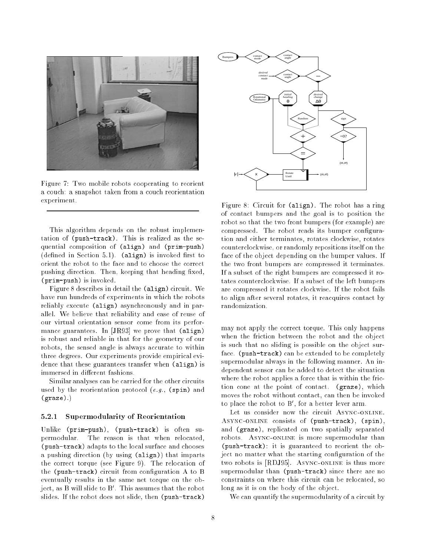

Figure 7: Two mobile robots cooperating to reorient a couch: a snapshot taken from a couch reorientation experiment.

This algorithm depends on the robust implementation of (push-track). This is realized as the sequential composition of (align) and (prim-push)  $(defined in Section 5.1)$ .  $(align)$  is invoked first to orient the robot to the face and to choose the correct pushing direction. Then, keeping that heading fixed, (prim-push) is invoked.

Figure 8 describes in detail the (align) circuit. We have run hundreds of experiments in which the robots reliably execute (align) asynchronously and in parallel. We believe that reliability and ease of reuse of our virtual orientation sensor come from its performance guarantees. In [JR93] we prove that (align) is robust and reliable in that for the geometry of our robots, the sensed angle is always accurate to within three degrees. Our experiments provide empirical evidence that these guarantees transfer when (align) is immersed in different fashions.

Similar analyses can be carried for the other circuits used by the reorientation protocol  $(e.g., s)$  (spin) and (graze).)

### 5.2.1 Supermodularity of Reorientation

Unlike (prim-push), (push-track) is often supermodular. The reason is that when relocated, (push-track) adapts to the local surface and chooses a pushing direction (by using (align)) that imparts the correct torque (see Figure 9). The relocation of the (push-track) circuit from configuration A to B eventually results in the same net torque on the object, as B will slide to B0 . This assumes that the robot slides. If the robot does not slide, then (push-track)



Figure 8: Circuit for (align). The robot has a ring of contact bumpers and the goal is to position the robot so that the two front bumpers (for example) are compressed. The robot reads its bumper configuration and either terminates, rotates clockwise, rotates counterclockwise, or randomly repositions itself on the face of the object depending on the bumper values. If the two front bumpers are compressed it terminates. If a subset of the right bumpers are compressed it rotates counterclockwise. If a subset of the left bumpers are compressed it rotates clockwise. If the robot fails to align after several rotates, it reacquires contact by randomization.

may not apply the correct torque. This only happens when the friction between the robot and the object is such that no sliding is possible on the object surface. (push-track) can be extended to be completely supermodular always in the following manner. An independent sensor can be added to detect the situation where the robot applies a force that is within the friction cone at the point of contact. (graze), which moves the robot without contact, can then be invoked to place the robot to B<sup>0</sup> , for a better lever arm.

Let us consider now the circuit ASYNC-ONLINE. Async-online consists of (push-track), (spin), and (graze), replicated on two spatially separated robots. Async-online is more supermodular than (push-track): it is guaranteed to reorient the object no matter what the starting configuration of the two robots is [RDJ95]. ASYNC-ONLINE is thus more supermodular than (push-track) since there are no constraints on where this circuit can be relocated, so long as it is on the body of the object.

We can quantify the supermodularity of a circuit by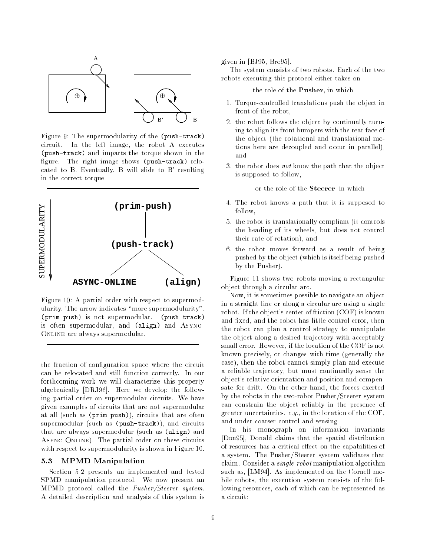

Figure 9: The supermodularity of the (push-track) circuit. In the left image, the robot A executes (push-track) and imparts the torque shown in the figure. The right image shows (push-track) relocated to B. Eventually, B will slide to B<sup>0</sup> resulting in the correct torque.



Figure 10: A partial order with respect to supermodularity. The arrow indicates "more supermodularity". (prim-push) is not supermodular. (push-track) is often supermodular, and (align) and Async-ONLINE are always supermodular.

the fraction of configuration space where the circuit can be relocated and still function correctly. In our forthcoming work we will characterize this property algebraically [DRJ96]. Here we develop the following partial order on supermodular circuits. We have given examples of circuits that are not supermodular at all (such as (prim-push)), circuits that are often supermodular (such as (push-track)), and circuits that are always supermodular (such as (align) and Async-Online). The partial order on these circuits with respect to supermodularity is shown in Figure 10.

#### MPMD Manipulation  $5.3$

Section 5.2 presents an implemented and tested SPMD manipulation protocol. We now present an MPMD protocol called the *Pusher/Steerer system*. A detailed description and analysis of this system is given in [BJ95, Bro95].

The system consists of two robots. Each of the two robots executing this protocol either takes on

the role of the Pusher, in which

- 1. Torque-controlled translations push the object in front of the robot,
- 2. the robot follows the object by continually turning to align its front bumpers with the rear face of the object (the rotational and translational motions here are decoupled and occur in parallel), and
- 3. the robot does not know the path that the object is supposed to follow,

or the role of the Steerer, in which

- 4. The robot knows a path that it is supposed to follow,
- 5. the robot is translationally compliant (it controls the heading of its wheels, but does not control their rate of rotation), and
- 6. the robot moves forward as a result of being pushed by the object (which is itself being pushed by the Pusher).

Figure 11 shows two robots moving a rectangular object through a circular arc.

Now, it is sometimes possible to navigate an object in a straight line or along a circular arc using a single robot. If the object's center of friction (COF) is known and fixed, and the robot has little control error, then the robot can plan a control strategy to manipulate the object along a desired trajectory with acceptably small error. However, if the location of the COF is not known precisely, or changes with time (generally the case), then the robot cannot simply plan and execute a reliable trajectory, but must continually sense the object's relative orientation and position and compensate for drift. On the other hand, the forces exerted by the robots in the two-robot Pusher/Steerer system can constrain the object reliably in the presence of greater uncertainties, e.g., in the location of the COF, and under coarser control and sensing.

In his monograph on information invariants [Don95], Donald claims that the spatial distribution of resources has a critical effect on the capabilities of a system. The Pusher/Steerer system validates that claim. Consider a single-robot manipulation algorithm such as, [LM94]. As implemented on the Cornell mobile robots, the execution system consists of the following resources, each of which can be represented as a circuit: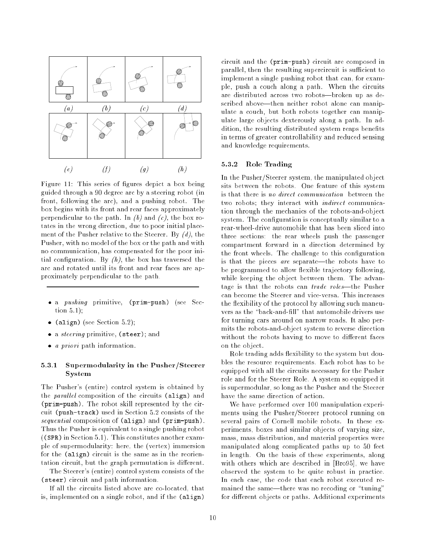

Figure 11: This series of figures depict a box being guided through a 90 degree arc by a steering robot (in front, following the arc), and a pushing robot. The box begins with its front and rear faces approximately perpendicular to the path. In  $(b)$  and  $(c)$ , the box rotates in the wrong direction, due to poor initial placement of the Pusher relative to the Steerer. By  $(d)$ , the Pusher, with no model of the box or the path and with no communication, has compensated for the poor initial configuration. By  $(h)$ , the box has traversed the arc and rotated until its front and rear faces are approximately perpendicular to the path.

- a pushing primitive, (prim-push) (see Section 5.1);
- (align) (see Section 5.2);
- a steering primitive, (steer); and
- a priori path information.

# 5.3.1 Supermodularity in the Pusher/Steerer System

The Pusher's (entire) control system is obtained by the *parallel* composition of the circuits (align) and (prim-push). The robot skill represented by the circuit (push-track) used in Section 5.2 consists of the sequential composition of (align) and (prim-push). Thus the Pusher is equivalent to a single pushing robot ((SPR) in Section 5.1). This constitutes another example of supermodularity: here, the (vertex) immersion for the (align) circuit is the same as in the reorientation circuit, but the graph permutation is different.

The Steerer's (entire) control system consists of the (steer) circuit and path information.

If all the circuits listed above are co-located, that is, implemented on a single robot, and if the (align) circuit and the (prim-push) circuit are composed in parallel, then the resulting supercircuit is sufficient to implement a single pushing robot that can, for example, push a couch along a path. When the circuits are distributed across two robots-broken up as described above-then neither robot alone can manipulate a couch, but both robots together can manipulate large objects dexterously along a path. In addition, the resulting distributed system reaps benefits in terms of greater controllability and reduced sensing and knowledge requirements.

### 5.3.2 Role Trading

In the Pusher/Steerer system, the manipulated object sits between the robots. One feature of this system is that there is no direct communication between the two robots; they interact with *indirect* communication through the mechanics of the robots-and-object system. The configuration is conceptually similar to a rear-wheel-drive automobile that has been sliced into three sections: the rear wheels push the passenger compartment forward in a direction determined by the front wheels. The challenge to this conguration is that the pieces are separate—the robots have to be programmed to allow flexible trajectory following, while keeping the object between them. The advantage is that the robots can trade roles—the Pusher can become the Steerer and vice-versa. This increases the flexibility of the protocol by allowing such maneuvers as the "back-and-fill" that automobile drivers use for turning cars around on narrow roads. It also permits the robots-and-object system to reverse direction without the robots having to move to different faces on the object.

Role trading adds flexibility to the system but doubles the resource requirements. Each robot has to be equipped with all the circuits necessary for the Pusher role and for the Steerer Role. A system so equipped it is supermodular, so long as the Pusher and the Steerer have the same direction of action.

We have performed over 100 manipulation experiments using the Pusher/Steerer protocol running on several pairs of Cornell mobile robots. In these experiments, boxes and similar objects of varying size, mass, mass distribution, and material properties were manipulated along complicated paths up to 50 feet in length. On the basis of these experiments, along with others which are described in [Bro95], we have observed the system to be quite robust in practice. In each case, the code that each robot executed remained the same—there was no recoding or "tuning" for different objects or paths. Additional experiments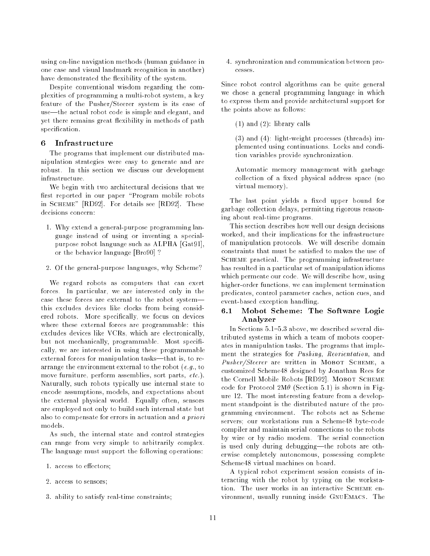using on-line navigation methods (human guidance in one case and visual landmark recognition in another) have demonstrated the flexibility of the system.

Despite conventional wisdom regarding the complexities of programming a multi-robot system, a key feature of the Pusher/Steerer system is its ease of use-the actual robot code is simple and elegant, and yet there remains great flexibility in methods of path specification.

# 6 Infrastructure

The programs that implement our distributed manipulation strategies were easy to generate and are robust. In this section we discuss our development infrastructure.

We begin with two architectural decisions that we first reported in our paper "Program mobile robots in Scheme" [RD92]. For details see [RD92]. These decisions concern:

- 1. Why extend a general-purpose programming language instead of using or inventing a specialpurpose robot language such as ALPHA [Gat91], or the behavior language [Bro90] ?
- 2. Of the general-purpose languages, why Scheme?

We regard robots as computers that can exert forces. In particular, we are interested only in the case these forces are external to the robot systemthis excludes devices like clocks from being considered robots. More specifically, we focus on devices where these external forces are programmable: this excludes devices like VCRs, which are electronically, but not mechanically, programmable. Most specifically, we are interested in using these programmable external forces for manipulation tasks—that is, to rearrange the environment external to the robot (e.g., to move furniture, perform assemblies, sort parts, etc.). Naturally, such robots typically use internal state to encode assumptions, models, and expectations about the external physical world. Equally often, sensors are employed not only to build such internal state but also to compensate for errors in actuation and a priori models.

As such, the internal state and control strategies can range from very simple to arbitrarily complex. The language must support the following operations:

- 1. access to effectors;
- 2. access to sensors;
- 3. ability to satisfy real-time constraints;

4. synchronization and communication between processes.

Since robot control algorithms can be quite general we chose a general programming language in which to express them and provide architectural support for the points above as follows:

(1) and (2): library calls

(3) and (4): light-weight processes (threads) implemented using continuations. Locks and condition variables provide synchronization.

Automatic memory management with garbage collection of a fixed physical address space (no virtual memory).

The last point yields a fixed upper bound for garbage collection delays, permitting rigorous reasoning about real-time programs.

This section describes how well our design decisions worked, and their implications for the infrastructure of manipulation protocols. We will describe domain constraints that must be satisfied to makes the use of Scheme practical. The programming infrastructure has resulted in a particular set of manipulation idioms which permeate our code. We will describe how, using higher-order functions, we can implement termination predicates, control parameter caches, action cues, and event-based exception handling.

# 6.1 Mobot Scheme: The Software Logic Analyzer

In Sections 5.1-5.3 above, we described several distributed systems in which a team of mobots cooperates in manipulation tasks. The programs that implement the strategies for Pushing, Reorientation, and Pusher/Steerer are written in MOBOT SCHEME, a customized Scheme48 designed by Jonathan Rees for the Cornell Mobile Robots [RD92]. MOBOT SCHEME code for Protocol  $2M\theta$  (Section 5.1) is shown in Figure 12. The most interesting feature from a development standpoint is the distributed nature of the programming environment. The robots act as Scheme servers; our workstations run a Scheme48 byte-code compiler and maintain serial connections to the robots by wire or by radio modem. The serial connection is used only during debugging—the robots are otherwise completely autonomous, possessing complete Scheme48 virtual machines on board.

A typical robot experiment session consists of interacting with the robot by typing on the workstation. The user works in an interactive SCHEME environment, usually running inside GnuEmacs. The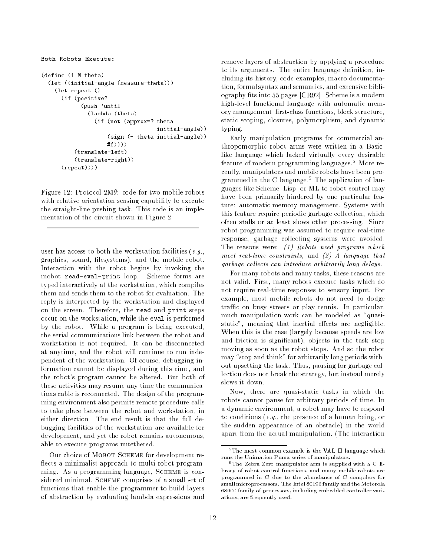```
Both Robots Execute:
\sim \sim \sim \sim \sim \sim (1-M-theta)
  \mathcal{L} (in the contract of \mathcal{L} and \mathcal{L} and \mathcal{L} and \mathcal{L} and \mathcal{L} and \mathcal{L}\sim - - - - - - \sim /
        (if (positive?
                 (push 'until
                    (lambda (theta)
                       (if (not (approx=? theta
                                                  initial-angle))(sign (- theta initial-angle))
                            #f)))
              (translate-left)(translate-right))(repeat))))
```
Figure 12: Protocol  $2M\theta$ : code for two mobile robots with relative orientation sensing capability to execute the straight-line pushing task. This code is an implementation of the circuit shown in Figure 2

user has access to both the workstation facilities (e.g., graphics, sound, filesystems), and the mobile robot. Interaction with the robot begins by invoking the mobot read-eval-print loop. Scheme forms are typed interactively at the workstation, which compiles them and sends them to the robot for evaluation. The reply is interpreted by the workstation and displayed on the screen. Therefore, the read and print steps occur on the workstation, while the eval is performed by the robot. While a program is being executed, the serial communications link between the robot and workstation is not required. It can be disconnected at anytime, and the robot will continue to run independent of the workstation. Of course, debugging information cannot be displayed during this time, and the robot's program cannot be altered. But both of these activities may resume any time the communications cable is reconnected. The design of the programming environment also permits remote procedure calls to take place between the robot and workstation, in either direction. The end result is that the full debugging facilities of the workstation are available for development, and yet the robot remains autonomous, able to execute programs untethered.

Our choice of Mobot Scheme for development re flects a minimalist approach to multi-robot programming. As a programming language, SCHEME is considered minimal. SCHEME comprises of a small set of functions that enable the programmer to build layers of abstraction by evaluating lambda expressions and remove layers of abstraction by applying a procedure to its arguments. The entire language definition, including its history, code examples, macro documentation, formal syntax and semantics, and extensive bibliography fits into 55 pages [CR92]. Scheme is a modern high-level functional language with automatic memory management, first-class functions, block structure, static scoping, closures, polymorphism, and dynamic typing.

Early manipulation programs for commercial anthropomorphic robot arms were written in a Basiclike language which lacked virtually every desirable feature of modern programming languages.<sup>5</sup> More recently, manipulators and mobile robots have been programmed in the U language. The application of languages like Scheme, Lisp, or ML to robot control may have been primarily hindered by one particular feature: automatic memory management. Systems with this feature require periodic garbage collection, which often stalls or at least slows other processing. Since robot programming was assumed to require real-time response, garbage collecting systems were avoided. The reasons were: (1) Robots need programs which meet real-time constraints, and  $(2)$  A language that garbage collects can introduce arbitrarily long delays.

For many robots and many tasks, these reasons are not valid. First, many robots execute tasks which do not require real-time responses to sensory input. For example, most mobile robots do not need to dodge traffic on busy streets or play tennis. In particular, much manipulation work can be modeled as "quasistatic", meaning that inertial effects are negligible. When this is the case (largely because speeds are low and friction is signicant), objects in the task stop moving as soon as the robot stops. And so the robot may "stop and think" for arbitrarily long periods without upsetting the task. Thus, pausing for garbage collection does not break the strategy, but instead merely slows it down.

Now, there are quasi-static tasks in which the robots cannot pause for arbitrary periods of time. In a dynamic environment, a robot may have to respond to conditions (e.g., the presence of a human being, or the sudden appearance of an obstacle) in the world apart from the actual manipulation. (The interaction

<sup>&</sup>lt;sup>5</sup>The most common example is the VAL II language which runs the Unimation Puma series of manipulators.

 $6$ The Zebra Zero manipulator arm is supplied with a C library of robot control functions, and many mobile robots are programmed in C due to the abundance of C compilers for small microprocessors. The Intel 80196 family and the Motorola 68000 family of processors, including embedded controller variations, are frequently used.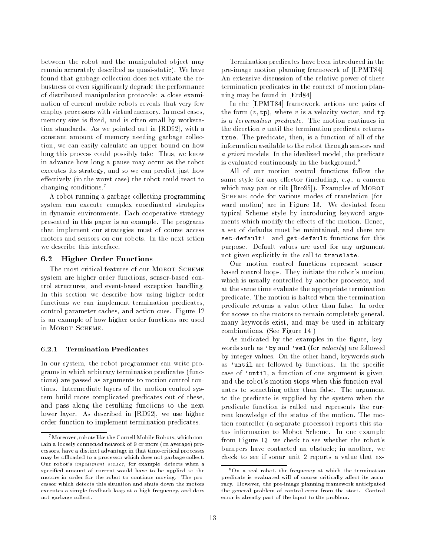between the robot and the manipulated object may remain accurately described as quasi-static). We have found that garbage collection does not vitiate the robustness or even signicantly degrade the performance of distributed manipulation protocols: a close examination of current mobile robots reveals that very few employ processors with virtual memory. In most cases, memory size is fixed, and is often small by workstation standards. As we pointed out in [RD92], with a constant amount of memory needing garbage collection, we can easily calculate an upper bound on how long this process could possibly take. Thus, we know in advance how long a pause may occur as the robot executes its strategy, and so we can predict just how effectively (in the worst case) the robot could react to changing conditions.<sup>7</sup>

A robot running a garbage collecting programming system can execute complex coordinated strategies in dynamic environments. Each cooperative strategy presented in this paper is an example. The programs that implement our strategies must of course access motors and sensors on our robots. In the next setion we describe this interface.

## 6.2 Higher Order Functions

The most critical features of our MOBOT SCHEME system are higher order functions, sensor-based control structures, and event-based exception handling. In this section we describe how using higher order functions we can implement termination predicates, control parameter caches, and action cues. Figure 12 is an example of how higher order functions are used in Mobot Scheme.

## 6.2.1 Termination Predicates

In our system, the robot programmer can write programs in which arbitrary termination predicates (functions) are passed as arguments to motion control routines. Intermediate layers of the motion control system build more complicated predicates out of these, and pass along the resulting functions to the next lower layer. As described in [RD92], we use higher order function to implement termination predicates.

Termination predicates have been introduced in the pre-image motion planning framework of [LPMT84]. An extensive discussion of the relative power of these termination predicates in the context of motion planning may be found in [Erd84].

In the [LPMT84] framework, actions are pairs of the form  $(v, \texttt{tp})$ , where v is a velocity vector, and  $\texttt{tp}$ is a termination predicate. The motion continues in the direction v until the termination predicate returns true. The predicate, then, is a function of all of the information available to the robot through sensors and a priori models. In the idealized model, the predicate is evaluated continuously in the background.<sup>8</sup>

All of our motion control functions follow the same style for any effector (including,  $e.g.,$  a camera which may pan or tilt  $[Bro95]$ . Examples of MOBOT SCHEME code for various modes of translation (forward motion) are in Figure 13. We deviated from typical Scheme style by introducing keyword arguments which modify the effects of the motion. Hence, a set of defaults must be maintained, and there are set-definitely with get-definitely functions for this purpose. Default values are used for any argument not given explicitly in the call to translate.

Our motion control functions represent sensorbased control loops. They initiate the robot's motion, which is usually controlled by another processor, and at the same time evaluate the appropriate termination predicate. The motion is halted when the termination predicate returns a value other than false. In order for access to the motors to remain completely general, many keywords exist, and may be used in arbitrary combinations. (See Figure 14.)

As indicated by the examples in the figure, keywords such as 'by and 'vel (for  $velocity$ ) are followed by integer values. On the other hand, keywords such as 'until are followed by functions. In the specific case of 'until, a function of one argument is given, and the robot's motion stops when this function evaluates to something other than false. The argument to the predicate is supplied by the system when the predicate function is called and represents the current knowledge of the status of the motion. The motion controller (a separate processor) reports this status information to Mobot Scheme. In one example from Figure 13, we check to see whether the robot's bumpers have contacted an obstacle; in another, we check to see if sonar unit 2 reports a value that ex-

 $7$ Moreover, robots like the Cornell Mobile Robots, which contain a loosely connected network of 9 or more (on average) processors, have a distinct advantage in that time-critical processes may be offloaded to a processor which does not garbage collect. Our robot's impediment sensor, for example, detects when a specied amount of current would have to be applied to the motors in order for the robot to continue moving. The processor which detects this situation and shuts down the motors executes a simple feedback loop at a high frequency, and does not garbage collect.

<sup>8</sup>On a real robot, the frequency at which the termination predicate is evaluated will of course critically affect its accuracy. However, the pre-image planning framework anticipated the general problem of control error from the start. Control error is already part of the input to the problem.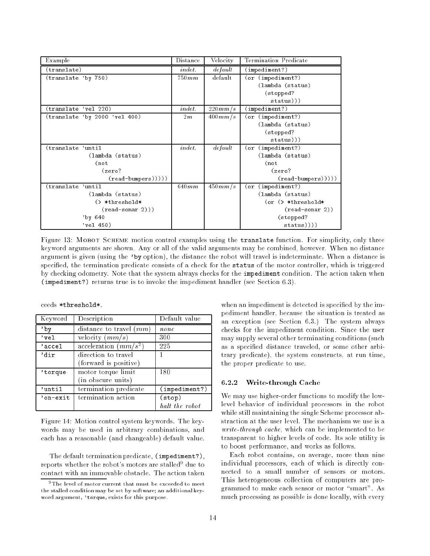| Example                       | Distance | Velocity | Termination Predicate    |
|-------------------------------|----------|----------|--------------------------|
| (translate)                   | in det.  | default  | (impactment?)            |
| (translate 'by 750)           | 750mm    | default  | (or (impediment?)        |
|                               |          |          | (lambda (status)         |
|                               |          |          | (stopped?                |
|                               |          |          | status))                 |
| (translate 'vel 220)          | indet.   | 220mm/s  | $(\texttt{impediment?})$ |
| (translate 'by 2000 'vel 400) | 2m       | 400mm/s  | (or (impediment?)        |
|                               |          |          | (lambda (status)         |
|                               |          |          | (stopped?                |
|                               |          |          | status))                 |
| (translate 'until             | indet.   | default  | (or (impediment?)        |
| (lambda (status)              |          |          | (lambda (status)         |
| $($ not                       |          |          | $($ not                  |
| (zero?                        |          |          | (zero?                   |
| $(read-bumpers))))$           |          |          | $(read-bumpers))))$      |
| (translate 'until             | 640mm    | 450mm/s  | (or (impediment?)        |
| (lambda (status)              |          |          | (lambda (status)         |
| $($ *threshold*               |          |          | $(or \& *threshold*$     |
| $(read-sonar 2))$             |          |          | $(\text{read-sonar 2}))$ |
| $'$ by 640                    |          |          | (stopped?                |
| $'$ vel 450)                  |          |          | status))))               |

Figure 13: MOBOT SCHEME motion control examples using the translate function. For simplicity, only three keyword arguments are shown. Any or all of the valid arguments may be combined, however. When no distance argument is given (using the 'by option), the distance the robot will travel is indeterminate. When a distance is specified, the termination predicate consists of a check for the status of the motor controller, which is triggered by checking odometry. Note that the system always checks for the impediment condition. The action taken when (impediment?) returns true is to invoke the impediment handler (see Section 6.3).

| ceeds *threshold* |  |
|-------------------|--|
|-------------------|--|

| Keyword  | Description               | Default value     |
|----------|---------------------------|-------------------|
| 'bv      | distance to travel $(mm)$ | none              |
| 'vel     | velocity $(mm/s)$         | 300               |
| 'accel   | acceleration $(mm/s^2)$   | 225               |
| 'dir     | direction to travel       |                   |
|          | (forward is positive)     |                   |
| 'torque  | motor torque limit        | 180               |
|          | (in obscure units)        |                   |
| 'until   | termination predicate     | (impactiment?)    |
| 'on-exit | termination action        | $(\texttt{stop})$ |
|          |                           | halt the robot    |

Figure 14: Motion control system keywords. The keywords may be used in arbitrary combinations, and each has a reasonable (and changeable) default value.

The default termination predicate, (impediment?), reports whether the robot's motors are stalled $^{\circ}$  due to contact with an immovable obstacle. The action taken when an impediment is detected is specified by the impediment handler, because the situation is treated as an exception (see Section 6.3.) The system always checks for the impediment condition. Since the user may supply several other terminating conditions (such as a specied distance traveled, or some other arbitrary predicate), the system constructs, at run time, the proper predicate to use.

# 6.2.2 Write-through Cache

We may use higher-order functions to modify the lowlevel behavior of individual processors in the robot while still maintaining the single Scheme processor abstraction at the user level. The mechanism we use is a write-through cache, which can be implemented to be transparent to higher levels of code. Its sole utility is to boost performance, and works as follows.

Each robot contains, on average, more than nine individual processors, each of which is directly connected to a small number of sensors or motors. This heterogeneous collection of computers are programmed to make each sensor or motor "smart". As much processing as possible is done locally, with every

<sup>&</sup>lt;sup>9</sup>The level of motor current that must be exceeded to meet the stalled condition may be set by software; an additional keyword argument, 'torque, exists for this purpose.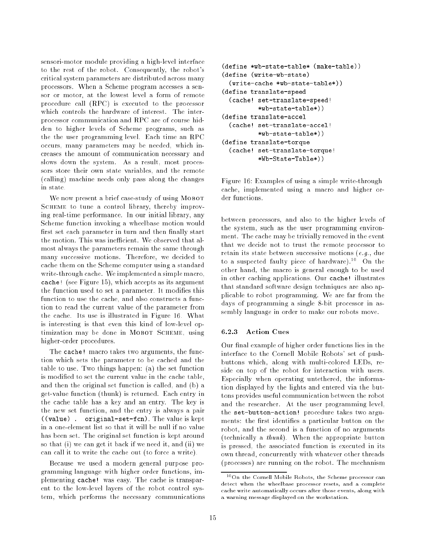sensori-motor module providing a high-level interface to the rest of the robot. Consequently, the robot's critical system parameters are distributed across many processors. When a Scheme program accesses a sensor or motor, at the lowest level a form of remote procedure call (RPC) is executed to the processor which controls the hardware of interest. The interprocessor communication and RPC are of course hidden to higher levels of Scheme programs, such as the the user programming level. Each time an RPC occurs, many parameters may be needed, which increases the amount of communication necessary and slows down the system. As a result, most processors store their own state variables, and the remote (calling) machine needs only pass along the changes in state.

We now present a brief case-study of using MOBOT SCHEME to tune a control library, thereby improving real-time performance. In our initial library, any Scheme function invoking a wheelbase motion would first set each parameter in turn and then finally start the motion. This was inefficient. We observed that almost always the parameters remain the same through many successive motions. Therefore, we decided to cache them on the Scheme computer using a standard write-through cache. We implemented a simple macro, cache is the figure 15 of the second accepts as its arguments. the function used to set a parameter. It modifies this function to use the cache, and also constructs a function to read the current value of the parameter from the cache. Its use is illustrated in Figure 16. What is interesting is that even this kind of low-level optimization may be done in MOBOT SCHEME, using higher-order procedures.

The cache! macro takes two arguments, the function which sets the parameter to be cached and the table to use. Two things happen: (a) the set function is modied to set the current value in the cache table, and then the original set function is called, and (b) a get-value function (thunk) is returned. Each entry in the cache table has a key and an entry. The key is the new set function, and the entry is always a pair ( ) . or an equal  $\alpha$  -frace is the value is the value is the value is kept is kept is kept is kept is kept is kept is kept is kept is kept is kept is kept is kept is kept is kept is kept in the set of  $\alpha$  is kept in th in a one-element list so that it will be null if no value has been set. The original set function is kept around so that (i) we can get it back if we need it, and (ii) we can call it to write the cache out (to force a write).

Because we used a modern general purpose programming language with higher order functions, implementing cache! was easy. The cache is transparent to the low-level layers of the robot control system, which performs the necessary communications

```
(define *wb-state-table* (make-table))
(define (write-wb-state)
   (write-cache *wb-state-table*))
(define translate-speed
   (cache! set-translate-speed!
               *wb-state-table*))\sqrt{2}\sqrt{2} set-translate-accelering-accelering-accelering-accelering-accelering-accelering-accelering-accelering-accelering-accelering-accelering-accelering-accelering-accelering-accelering-accelering-accelering-accelering-a
               *wb-state-table*))\sqrt{2}(cache! set-translate-torque!
               *Wb-State-Table*))
```
Figure 16: Examples of using a simple write-through cache, implemented using a macro and higher order functions.

between processors, and also to the higher levels of the system, such as the user programming environment. The cache may be trivially removed in the event that we decide not to trust the remote processor to retain its state between successive motions (e.g., due to a suspected faulty piece of hardware).<sup>10</sup> On the other hand, the macro is general enough to be used in other caching applications. Our cache! illustrates that standard software design techniques are also applicable to robot programming. We are far from the days of programming a single 8-bit processor in assembly language in order to make our robots move.

## 6.2.3 Action Cues

Our final example of higher order functions lies in the interface to the Cornell Mobile Robots' set of pushbuttons which, along with multi-colored LEDs, reside on top of the robot for interaction with users. Especially when operating untethered, the information displayed by the lights and entered via the buttons provides useful communication between the robot and the researcher. At the user programming level, the set-button-action! procedure takes two arguments: the first identifies a particular button on the robot, and the second is a function of no arguments (technically a thunk). When the appropriate button is pressed, the associated function is executed in its own thread, concurrently with whatever other threads (processes) are running on the robot. The mechanism

<sup>10</sup>On the Cornell Mobile Robots, the Scheme processor can detect when the wheelbase processor resets, and a complete cache write automatically occurs after those events, along with a warning message displayed on the workstation.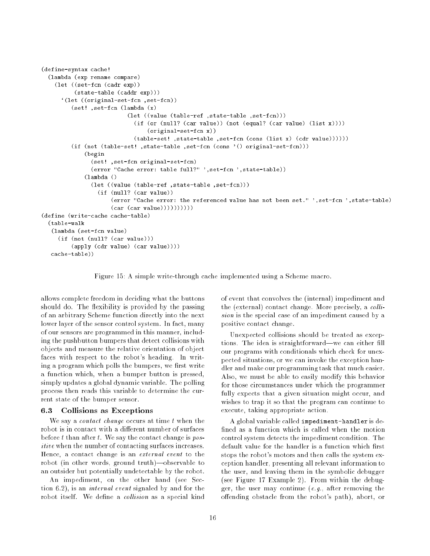```
(define-syntax cache!(lambda (exp rename compare)
     \lambda and \lambda (set-form expression exponentially expected to \lambda(state-table (caddr exp)))
        `(let ((original-set-fcn ,set-fcn))
            (set! ,set-fcn (lambda (x)
                                    (set-force-ref , there is the function \mathcal{E} , and \mathcal{E}(i.e. (or (investigate) (car value)) (i.e. (equality (car value) (i.e. \mathcal{N}(j)))
                                             (original-set-fcn x))
                                       (table-set-fcn (state-table-table-table-table-table-table-table-table-table-table-table-table-table-table-table-
            (if (not (table-set! ,state-table ,set-fcn (cons '() original-set-fcn)))
                  \sim - \sim - - -
                     \sim ..., , ... original-set-form original-set-form,
                     (error "Cache error: table full?" ',set-fcn ',state-table))
                  \sim \sim \sim \sim \sim \sim \sim \sim(field ))) and the state-table-table-table-table-table-table-table-table-table-table-table-table-table-table-table-table-table-table-table-table-table-table-table-table-table-table-table-table-table-table-table-table-tabl
                        (if (null? (car value))
                             (error "Cache error: the referenced value has not been set." ',set-fcn ',state-table)
                             (car (car value))))))))
\sqrt{2}(table-walk
    (lambda (set-fcn value)
       (if (not (null? (car value)))
            (apply (cdr value) (car value))))
    cache-table))
```
Figure 15: A simple write-through cache implemented using a Scheme macro.

allows complete freedom in deciding what the buttons should do. The flexibility is provided by the passing of an arbitrary Scheme function directly into the next lower layer of the sensor control system. In fact, many of our sensors are programmed in this manner, including the pushbutton bumpers that detect collisions with objects and measure the relative orientation of object faces with respect to the robot's heading. In writing a program which polls the bumpers, we first write a function which, when a bumper button is pressed, simply updates a global dynamic variable. The polling process then reads this variable to determine the current state of the bumper sensor.

#### 6.3 6.3 Collisions as Exceptions

We say a *contact change* occurs at time  $t$  when the robot is in contact with a different number of surfaces before t than after t. We say the contact change is  $pos$ itive when the number of contacting surfaces increases. Hence, a contact change is an external event to the robot (in other words, ground truth)-observable to an outsider but potentially undetectable by the robot.

An impediment, on the other hand (see Section 6.2), is an internal event signaled by and for the robot itself. We define a collision as a special kind of event that convolves the (internal) impediment and the (external) contact change. More precisely, a  $colli$ sion is the special case of an impediment caused by a positive contact change.

Unexpected collisions should be treated as exceptions. The idea is straightforward—we can either fill our programs with conditionals which check for unexpected situations, or we can invoke the exception handler and make our programming task that much easier. Also, we must be able to easily modify this behavior for those circumstances under which the programmer fully expects that a given situation might occur, and wishes to trap it so that the program can continue to execute, taking appropriate action.

A global variable called impediment-handler is de fined as a function which is called when the motion control system detects the impediment condition. The default value for the handler is a function which first stops the robot's motors and then calls the system exception handler, presenting all relevant information to the user, and leaving them in the symbolic debugger (see Figure 17 Example 2). From within the debugger, the user may continue  $(e.g.,$  after removing the offending obstacle from the robot's path), abort, or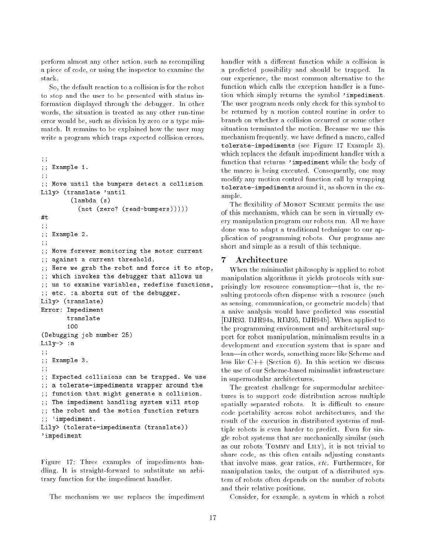perform almost any other action, such as recompiling a piece of code, or using the inspector to examine the stack.

So, the default reaction to a collision is for the robot to stop and the user to be presented with status information displayed through the debugger. In other words, the situation is treated as any other run-time error would be, such as division by zero or a type mismatch. It remains to be explained how the user may write a program which traps expected collision errors.

```
;;;; Example 1.
;;;; Move until the bumpers detect a collision
Lily> (translate 'until
             (lambda (s)
                 (not (zero? (read-bumpers)))))
. . .
;;; ; = = = = = \cdot;;;; Move for a monitoring the motor current
;; against a current threshold.
\mathbf{y} , the robot and force it to stop, the robot and force it to stop, the robot and force it to stop, the stop, the stop, the stop, the stop, the stop, the stop, the stop, the stop, the stop, the stop, the stop, the 
\mathbf{y}; which is the debugger that allows us an allows us the debug allows us allows us allows us an allow \mathbf{y}\mathbf{y}; we to examine functions, reduced functions, \mathbf{y};; etc. .a above out out of the debugger.
Lily> (translate)
Error: Impediment
           100\sim 250 \sim 0.000 \sim 250 \sim 250 \sim 250 \sim 250 \sim 250 \sim 250 \sim 250 \sim 250 \sim 250 \sim 250 \sim 250 \sim 250 \sim 250 \sim 250 \sim 250 \sim 250 \sim 250 \sim 250 \sim 250 \sim 250 \sim 250 \sim 250 \simLily-> :a
;;;; Example 3.
;;; ; expected collisions can be transferred. We use the transferred \sim;; a tolerate-impediments wrapper around the
;; function that might generate a collision.
;; The impediment handling system will stop
;; the robot and the motion function return
;; 'impediment.
Lily> (tolerate-impediments (translate))
'impediment
```
Figure 17: Three examples of impediments handling. It is straight-forward to substitute an arbitrary function for the impediment handler.

The mechanism we use replaces the impediment

handler with a different function while a collision is a predicted possibility and should be trapped. In our experience, the most common alternative to the function which calls the exception handler is a function which simply returns the symbol 'impediment. The user program needs only check for this symbol to be returned by a motion control routine in order to branch on whether a collision occurred or some other situation terminated the motion. Because we use this mechanism frequently, we have defined a macro, called tolerate-impediments (see Figure 17 Example 3), which replaces the default impediment handler with a function that returns 'impediment while the body of the macro is being executed. Consequently, one may modify any motion control function call by wrapping tolerate-impediments around it, as shown in the example.

The flexibility of MOBOT SCHEME permits the use of this mechanism, which can be seen in virtually every manipulation program our robots run. All we have done was to adapt a traditional technique to our application of programming robots. Our programs are short and simple as a result of this technique.

#### 7 **Architecture**

When the minimalist philosophy is applied to robot manipulation algorithms it yields protocols with surprisingly low resource consumption—that is, the resulting protocols often dispense with a resource (such as sensing, communication, or geometric models) that a naive analysis would have predicted was essential [DJR93, DJR94a, RDJ95, DJR94b]. When applied to the programming environment and architectural support for robot manipulation, minimalism results in a development and execution system that is spare and lean—in other words, something more like Scheme and less like  $C++$  (Section 6). In this section we discuss the use of our Scheme-based minimalist infrastructure in supermodular architectures.

The greatest challenge for supermodular architectures is to support code distribution across multiple spatially separated robots. It is difficult to ensure code portability across robot architectures, and the result of the execution in distributed systems of multiple robots is even harder to predict. Even for single robot systems that are mechanically similar (such as our robots Tommy and Lily), it is not trivial to share code, as this often entails adjusting constants that involve mass, gear ratios, etc. Furthermore, for manipulation tasks, the output of a distributed system of robots often depends on the number of robots and their relative positions.

Consider, for example, a system in which a robot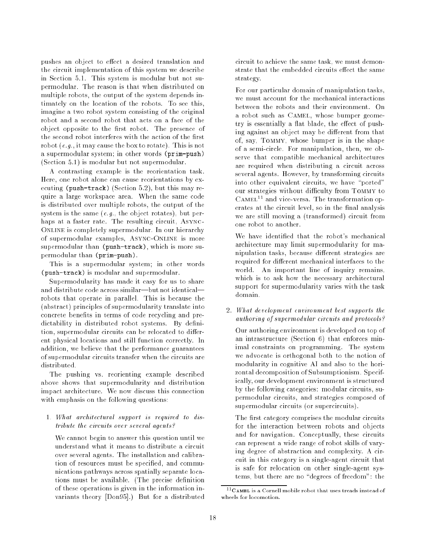pushes an object to effect a desired translation and the circuit implementation of this system we describe in Section 5.1. This system is modular but not supermodular. The reason is that when distributed on multiple robots, the output of the system depends intimately on the location of the robots. To see this, imagine a two robot system consisting of the original robot and a second robot that acts on a face of the object opposite to the first robot. The presence of the second robot interferes with the action of the first robot (e.g., it may cause the box to rotate). This is not a supermodular system; in other words (prim-push) (Section 5.1) is modular but not supermodular.

A contrasting example is the reorientation task. Here, one robot alone can cause reorientations by executing (push-track) (Section 5.2), but this may require a large workspace area. When the same code is distributed over multiple robots, the output of the system is the same  $(e,q)$ , the object rotates), but perhaps at a faster rate. The resulting circuit, Async-ONLINE is completely supermodular. In our hierarchy of supermodular examples, Async-Online is more supermodular than (push-track), which is more supermodular than (prim-push).

This is a supermodular system; in other words (push-track) is modular and supermodular.

Supermodularity has made it easy for us to share and distribute code across similar-but not identicalrobots that operate in parallel. This is because the (abstract) principles of supermodularity translate into concrete benefits in terms of code recycling and predictability in distributed robot systems. By definition, supermodular circuits can be relocated to different physical locations and still function correctly. In addition, we believe that the performance guarantees of supermodular circuits transfer when the circuits are

The pushing vs. reorienting example described above shows that supermodularity and distribution impact architecture. We now discuss this connection with emphasis on the following questions:

# 1. What architectural support is required to distribute the circuits over several agents?

We cannot begin to answer this question until we understand what it means to distribute a circuit over several agents. The installation and calibration of resources must be specified, and communications pathways across spatially separate locations must be available. (The precise definition of these operations is given in the information invariants theory [Don95].) But for a distributed

circuit to achieve the same task, we must demonstrate that the embedded circuits effect the same strategy.

For our particular domain of manipulation tasks, we must account for the mechanical interactions between the robots and their environment. On a robot such as Camel, whose bumper geometry is essentially a flat blade, the effect of pushing against an object may be different from that of, say, Tommy, whose bumper is in the shape of a semi-circle. For manipulation, then, we observe that compatible mechanical architectures are required when distributing a circuit across several agents. However, by transforming circuits into other equivalent circuits, we have "ported" our strategies without difficulty from TOMMY to  $CAMEL<sup>11</sup>$  and vice-versa. The transformation operates at the circuit level, so in the final analysis we are still moving a (transformed) circuit from one robot to another.

We have identied that the robot's mechanical architecture may limit supermodularity for manipulation tasks, because different strategies are required for different mechanical interfaces to the world. An important line of inquiry remains, which is to ask how the necessary architectural support for supermodularity varies with the task domain.

# 2. What development environment best supports the authoring of supermodular circuits and protocols?

Our authoring environment is developed on top of an intrastructure (Section 6) that enforces minimal constraints on programming. The system we advocate is orthogonal both to the notion of modularity in cognitive AI and also to the horizontal decomposition of Subsumptionism. Specifically, our development environment is structured by the following categories: modular circuits, supermodular circuits, and strategies composed of supermodular circuits (or supercircuits).

The first category comprises the modular circuits for the interaction between robots and objects and for navigation. Conceptually, these circuits can represent a wide range of robot skills of varying degree of abstraction and complexity. A circuit in this category is a single-agent circuit that is safe for relocation on other single-agent systems, but there are no "degrees of freedom": the

 $11$ CAMEL is a Cornell mobile robot that uses treads instead of wheels for locomotion.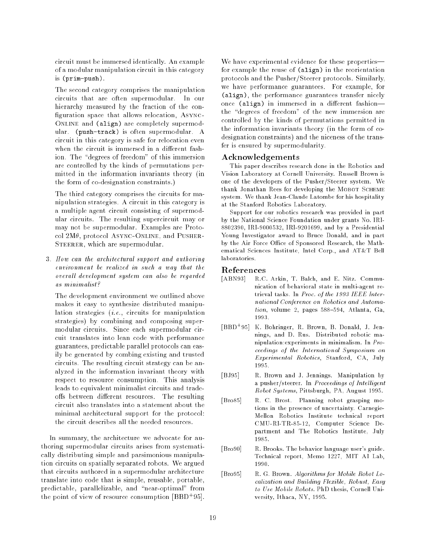circuit must be immersed identically. An example of a modular manipulation circuit in this category is (prim-push).

The second category comprises the manipulation circuits that are often supermodular. In our hierarchy measured by the fraction of the con figuration space that allows relocation, ASYNC-ONLINE and (align) are completely supermodular. (push-track) is often supermodular. A circuit in this category is safe for relocation even when the circuit is immersed in a different fashion. The "degrees of freedom" of this immersion are controlled by the kinds of permutations permitted in the information invariants theory (in the form of co-designation constraints.)

The third category comprises the circuits for manipulation strategies. A circuit in this category is a multiple agent circuit consisting of supermodular circuits. The resulting supercircuit may or may not be supermodular. Examples are Protocol  $2M\theta$ , protocol ASYNC-ONLINE, and PUSHER-STEERER, which are supermodular.

3. How can the architectural support and authoring environment be realized in such a way that the overall development system can also be regarded as minimalist?

The development environment we outlined above makes it easy to synthesize distributed manipulation strategies (i.e., circuits for manipulation strategies) by combining and composing supermodular circuits. Since each supermodular circuit translates into lean code with performance guarantees, predictable parallel protocols can easily be generated by combing existing and trusted circuits. The resulting circuit strategy can be analyzed in the information invariant theory with respect to resource consumption. This analysis leads to equivalent minimalist circuits and tradeoffs between different resources. The resulting circuit also translates into a statement about the minimal architectural support for the protocol: the circuit describes all the needed resources.

In summary, the architecture we advocate for authoring supermodular circuits arises from systematically distributing simple and parsimonious manipulation circuits on spatially separated robots. We argued that circuits authored in a supermodular architecture translate into code that is simple, reusable, portable, predictable, parallelizable, and "near-optimal" from the point of view of resource consumption [BBD<sup>+</sup> 95].

We have experimental evidence for these propertiesfor example the reuse of (align) in the reorientation protocols and the Pusher/Steerer protocols. Similarly, we have performance guarantees. For example, for (align), the performance guarantees transfer nicely once (align) in immersed in a different fashionthe "degrees of freedom" of the new immersion are controlled by the kinds of permutations permitted in the information invariants theory (in the form of codesignation constraints) and the niceness of the transfer is ensured by supermodularity.

## Acknowledgements

This paper describes research done in the Robotics and Vision Laboratory at Cornell University. Russell Brown is one of the developers of the Pusher/Steerer system. We thank Jonathan Rees for developing the MOBOT SCHEME system. We thank Jean-Claude Latombe for his hospitality at the Stanford Robotics Laboratory.

Support for our robotics research was provided in part by the National Science Foundation under grants No. IRI-8802390, IRI-9000532, IRI-9201699, and by a Presidential Young Investigator award to Bruce Donald, and in part by the Air Force Office of Sponsored Research, the Mathematical Sciences Institute, Intel Corp., and AT&T Bell laboratories.

### References

- [ABN93] R.C. Arkin, T. Balch, and E. Nitz. Communication of behavioral state in multi-agent retrieval tasks. In Proc. of the 1993 IEEE International Conference on Robotics and Automa $tion, volume 2, pages 588–594, Atlanta, Ga,$ 1993.
- [BBD<sup>+</sup> 95] K. Bohringer, R. Brown, B. Donald, J. Jennings, and D. Rus. Distributed robotic manipulation:experiments in minimalism. In Proceedings of the International Symposium on Experimental Robotics, Stanford, CA, July
- [BJ95] R. Brown and J. Jennings. Manipulation by a pusher/steerer. In Proceedings of Intelligent Robot Systems, Pittsburgh, PA, August 1995.
- [Bro85] R. C. Brost. Planning robot grasping motions in the presence of uncertainty. Carnegie-Mellon Robotics Institute technical report CMU-RI-TR-85-12, Computer Science Department and The Robotics Institute, July 1985.
- [Bro90] R. Brooks. The behavior language user's guide. Technical report, Memo 1227, MIT AI Lab, 1990.
- [Bro95] R. G. Brown. Algorithms for Mobile Robot Localization and Building Flexible, Robust, Easy to Use Mobile Robots. PhD thesis, Cornell University, Ithaca, NY, 1995.